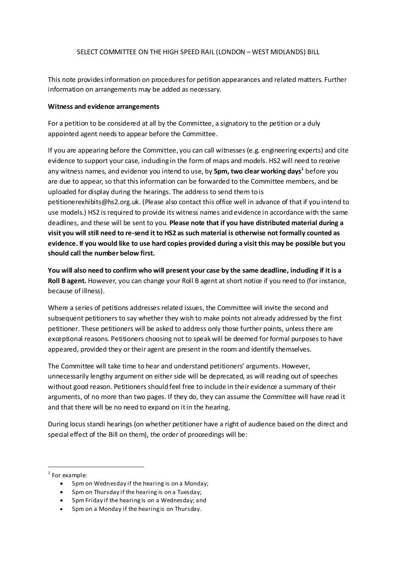## SELECT COMMITTEE ON THE HIGH SPEED RAIL (LONDON – WEST MIDLANDS) BILL

This note provides information on procedures for petition appearances and related matters. Further information on arrangements may be added as necessary.

## **Witness and evidence arrangements**

For a petition to be considered at all by the Committee, a signatory to the petition or a duly appointed agent needs to appear before the Committee.

If you are appearing before the Committee, you can call witnesses (e.g. engineering experts) and cite evidence to support your case, induding in the form of maps and models. HS2 will need to receive any witness names, and evidence you intend to use, by **5pm, two clear working days[1](#page-0-0)** before you are due to appear, so that this information can be forwarded to the Committee members, and be uploaded for display during the hearings. The address to send them to is petitionerexhibits@hs2.org.uk. (Please also contact this office well in advance of that if you intend to use models.) HS2 is required to provide its witness names and evidence in accordance with the same deadlines, and these will be sent to you. **Please note that if you have distributed material during a visit you will still need to re-send it to HS2 as such material is otherwise not formally counted as evidence. If you would like to use hard copies provided during a visit this may be possible but you should call the number below first.**

**You will also need to confirm who will present your case by the same deadline, including if it is a Roll B agent.** However, you can change your Roll B agent at short notice if you need to (for instance, because of illness).

Where a series of petitions addresses related issues, the Committee will invite the second and subsequent petitioners to say whether they wish to make points not already addressed by the first petitioner. These petitioners will be asked to address only those further points, unless there are exceptional reasons. Petitioners choosing not to speak will be deemed for formal purposes to have appeared, provided they or their agent are present in the room and identify themselves.

The Committee will take time to hear and understand petitioners' arguments. However, unnecessarily lengthy argument on either side will be deprecated, as will reading out of speeches without good reason. Petitioners should feel free to include in their evidence a summary of their arguments, of no more than two pages. If they do, they can assume the Committee will have read it and that there will be no need to expand on it in the hearing.

During locus standi hearings (on whether petitioner have a right of audience based on the direct and special effect of the Bill on them), the order of proceedings will be:

- 5pm on Wednesday if the hearing is on a Monday;
- 5pm on Thursday if the hearing is on a Tuesday;
- 5pm Friday if the hearing is on a Wednesday; and
- 5pm on a Monday if the hearing is on Thursday.

<span id="page-0-0"></span> $1$  For example: